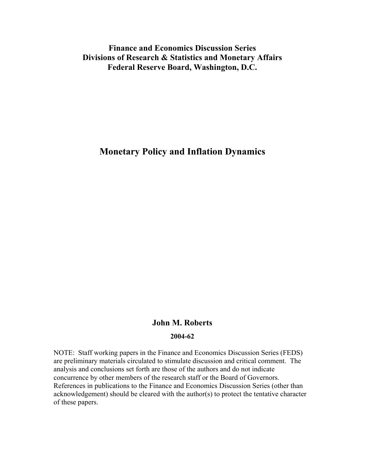# **Finance and Economics Discussion Series Divisions of Research & Statistics and Monetary Affairs Federal Reserve Board, Washington, D.C.**

# **Monetary Policy and Inflation Dynamics**

# **John M. Roberts**

### **2004-62**

NOTE: Staff working papers in the Finance and Economics Discussion Series (FEDS) are preliminary materials circulated to stimulate discussion and critical comment. The analysis and conclusions set forth are those of the authors and do not indicate concurrence by other members of the research staff or the Board of Governors. References in publications to the Finance and Economics Discussion Series (other than acknowledgement) should be cleared with the author(s) to protect the tentative character of these papers.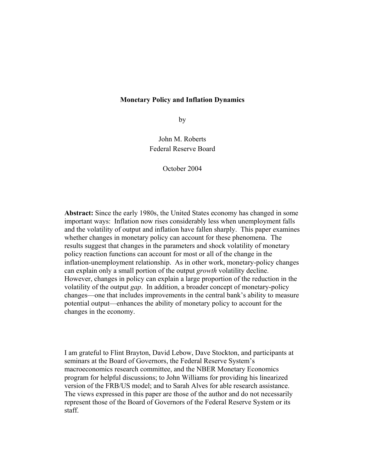## **Monetary Policy and Inflation Dynamics**

by

John M. Roberts Federal Reserve Board

October 2004

**Abstract:** Since the early 1980s, the United States economy has changed in some important ways: Inflation now rises considerably less when unemployment falls and the volatility of output and inflation have fallen sharply. This paper examines whether changes in monetary policy can account for these phenomena. The results suggest that changes in the parameters and shock volatility of monetary policy reaction functions can account for most or all of the change in the inflation-unemployment relationship. As in other work, monetary-policy changes can explain only a small portion of the output *growth* volatility decline. However, changes in policy can explain a large proportion of the reduction in the volatility of the output *gap*. In addition, a broader concept of monetary-policy changes—one that includes improvements in the central bank's ability to measure potential output—enhances the ability of monetary policy to account for the changes in the economy.

I am grateful to Flint Brayton, David Lebow, Dave Stockton, and participants at seminars at the Board of Governors, the Federal Reserve System's macroeconomics research committee, and the NBER Monetary Economics program for helpful discussions; to John Williams for providing his linearized version of the FRB/US model; and to Sarah Alves for able research assistance. The views expressed in this paper are those of the author and do not necessarily represent those of the Board of Governors of the Federal Reserve System or its staff.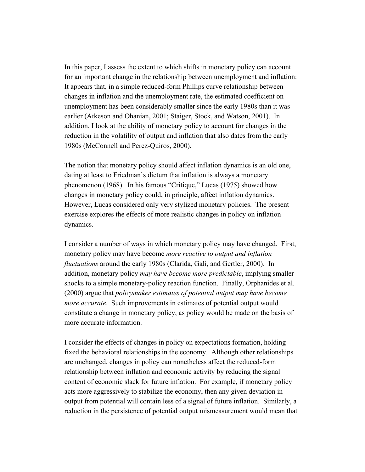In this paper, I assess the extent to which shifts in monetary policy can account for an important change in the relationship between unemployment and inflation: It appears that, in a simple reduced-form Phillips curve relationship between changes in inflation and the unemployment rate, the estimated coefficient on unemployment has been considerably smaller since the early 1980s than it was earlier (Atkeson and Ohanian, 2001; Staiger, Stock, and Watson, 2001). In addition, I look at the ability of monetary policy to account for changes in the reduction in the volatility of output and inflation that also dates from the early 1980s (McConnell and Perez-Quiros, 2000).

The notion that monetary policy should affect inflation dynamics is an old one, dating at least to Friedman's dictum that inflation is always a monetary phenomenon (1968). In his famous "Critique," Lucas (1975) showed how changes in monetary policy could, in principle, affect inflation dynamics. However, Lucas considered only very stylized monetary policies. The present exercise explores the effects of more realistic changes in policy on inflation dynamics.

I consider a number of ways in which monetary policy may have changed. First, monetary policy may have become *more reactive to output and inflation fluctuations* around the early 1980s (Clarida, Gali, and Gertler, 2000). In addition, monetary policy *may have become more predictable*, implying smaller shocks to a simple monetary-policy reaction function. Finally, Orphanides et al. (2000) argue that *policymaker estimates of potential output may have become more accurate*. Such improvements in estimates of potential output would constitute a change in monetary policy, as policy would be made on the basis of more accurate information.

I consider the effects of changes in policy on expectations formation, holding fixed the behavioral relationships in the economy. Although other relationships are unchanged, changes in policy can nonetheless affect the reduced-form relationship between inflation and economic activity by reducing the signal content of economic slack for future inflation. For example, if monetary policy acts more aggressively to stabilize the economy, then any given deviation in output from potential will contain less of a signal of future inflation. Similarly, a reduction in the persistence of potential output mismeasurement would mean that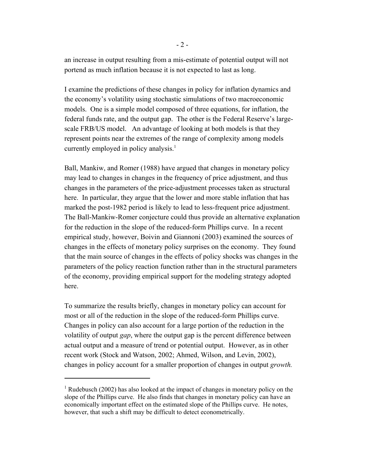an increase in output resulting from a mis-estimate of potential output will not portend as much inflation because it is not expected to last as long.

I examine the predictions of these changes in policy for inflation dynamics and the economy's volatility using stochastic simulations of two macroeconomic models. One is a simple model composed of three equations, for inflation, the federal funds rate, and the output gap. The other is the Federal Reserve's largescale FRB/US model. An advantage of looking at both models is that they represent points near the extremes of the range of complexity among models currently employed in policy analysis.<sup>1</sup>

Ball, Mankiw, and Romer (1988) have argued that changes in monetary policy may lead to changes in changes in the frequency of price adjustment, and thus changes in the parameters of the price-adjustment processes taken as structural here. In particular, they argue that the lower and more stable inflation that has marked the post-1982 period is likely to lead to less-frequent price adjustment. The Ball-Mankiw-Romer conjecture could thus provide an alternative explanation for the reduction in the slope of the reduced-form Phillips curve. In a recent empirical study, however, Boivin and Giannoni (2003) examined the sources of changes in the effects of monetary policy surprises on the economy. They found that the main source of changes in the effects of policy shocks was changes in the parameters of the policy reaction function rather than in the structural parameters of the economy, providing empirical support for the modeling strategy adopted here.

To summarize the results briefly, changes in monetary policy can account for most or all of the reduction in the slope of the reduced-form Phillips curve. Changes in policy can also account for a large portion of the reduction in the volatility of output *gap*, where the output gap is the percent difference between actual output and a measure of trend or potential output. However, as in other recent work (Stock and Watson, 2002; Ahmed, Wilson, and Levin, 2002), changes in policy account for a smaller proportion of changes in output *growth.*

<sup>&</sup>lt;sup>1</sup> Rudebusch (2002) has also looked at the impact of changes in monetary policy on the slope of the Phillips curve. He also finds that changes in monetary policy can have an economically important effect on the estimated slope of the Phillips curve. He notes, however, that such a shift may be difficult to detect econometrically.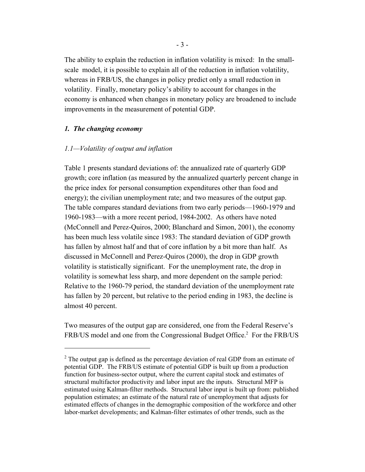The ability to explain the reduction in inflation volatility is mixed: In the smallscale model, it is possible to explain all of the reduction in inflation volatility, whereas in FRB/US, the changes in policy predict only a small reduction in volatility. Finally, monetary policy's ability to account for changes in the economy is enhanced when changes in monetary policy are broadened to include improvements in the measurement of potential GDP.

#### *1. The changing economy*

#### *1.1—Volatility of output and inflation*

Table 1 presents standard deviations of: the annualized rate of quarterly GDP growth; core inflation (as measured by the annualized quarterly percent change in the price index for personal consumption expenditures other than food and energy); the civilian unemployment rate; and two measures of the output gap. The table compares standard deviations from two early periods—1960-1979 and 1960-1983—with a more recent period, 1984-2002. As others have noted (McConnell and Perez-Quiros, 2000; Blanchard and Simon, 2001), the economy has been much less volatile since 1983: The standard deviation of GDP growth has fallen by almost half and that of core inflation by a bit more than half. As discussed in McConnell and Perez-Quiros (2000), the drop in GDP growth volatility is statistically significant. For the unemployment rate, the drop in volatility is somewhat less sharp, and more dependent on the sample period: Relative to the 1960-79 period, the standard deviation of the unemployment rate has fallen by 20 percent, but relative to the period ending in 1983, the decline is almost 40 percent.

Two measures of the output gap are considered, one from the Federal Reserve's FRB/US model and one from the Congressional Budget Office.<sup>2</sup> For the FRB/US

 $2<sup>2</sup>$  The output gap is defined as the percentage deviation of real GDP from an estimate of potential GDP. The FRB/US estimate of potential GDP is built up from a production function for business-sector output, where the current capital stock and estimates of structural multifactor productivity and labor input are the inputs. Structural MFP is estimated using Kalman-filter methods. Structural labor input is built up from: published population estimates; an estimate of the natural rate of unemployment that adjusts for estimated effects of changes in the demographic composition of the workforce and other labor-market developments; and Kalman-filter estimates of other trends, such as the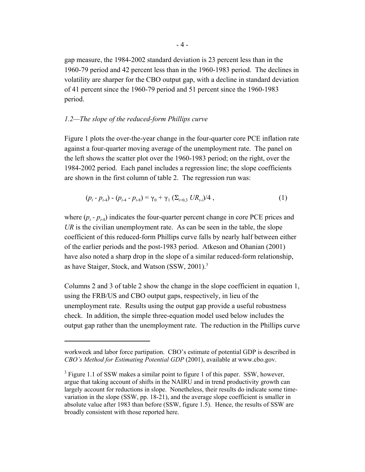gap measure, the 1984-2002 standard deviation is 23 percent less than in the 1960-79 period and 42 percent less than in the 1960-1983 period. The declines in volatility are sharper for the CBO output gap, with a decline in standard deviation of 41 percent since the 1960-79 period and 51 percent since the 1960-1983 period.

#### *1.2—The slope of the reduced-form Phillips curve*

Figure 1 plots the over-the-year change in the four-quarter core PCE inflation rate against a four-quarter moving average of the unemployment rate. The panel on the left shows the scatter plot over the 1960-1983 period; on the right, over the 1984-2002 period. Each panel includes a regression line; the slope coefficients are shown in the first column of table 2. The regression run was:

$$
(p_t - p_{t-4}) - (p_{t-4} - p_{t-8}) = \gamma_0 + \gamma_1 (\Sigma_{i=0,3} \; U R_{t-i})/4 \;, \tag{1}
$$

where  $(p_t - p_{t-4})$  indicates the four-quarter percent change in core PCE prices and *UR* is the civilian unemployment rate. As can be seen in the table, the slope coefficient of this reduced-form Phillips curve falls by nearly half between either of the earlier periods and the post-1983 period. Atkeson and Ohanian (2001) have also noted a sharp drop in the slope of a similar reduced-form relationship, as have Staiger, Stock, and Watson (SSW, 2001).<sup>3</sup>

Columns 2 and 3 of table 2 show the change in the slope coefficient in equation 1, using the FRB/US and CBO output gaps, respectively, in lieu of the unemployment rate. Results using the output gap provide a useful robustness check. In addition, the simple three-equation model used below includes the output gap rather than the unemployment rate. The reduction in the Phillips curve

workweek and labor force partipation. CBO's estimate of potential GDP is described in *CBO's Method for Estimating Potential GDP* (2001), available at www.cbo.gov.

 $3$  Figure 1.1 of SSW makes a similar point to figure 1 of this paper. SSW, however, argue that taking account of shifts in the NAIRU and in trend productivity growth can largely account for reductions in slope. Nonetheless, their results do indicate some timevariation in the slope (SSW, pp. 18-21), and the average slope coefficient is smaller in absolute value after 1983 than before (SSW, figure 1.5). Hence, the results of SSW are broadly consistent with those reported here.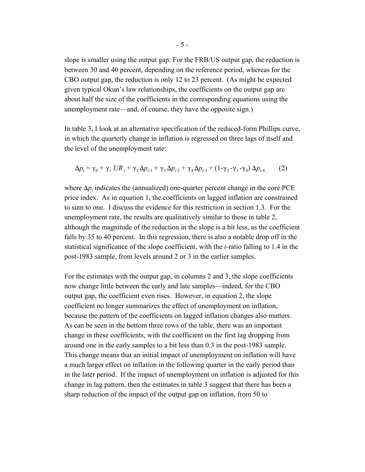slope is smaller using the output gap: For the FRB/US output gap, the reduction is between 30 and 40 percent, depending on the reference period, whereas for the CBO output gap, the reduction is only 12 to 23 percent. (As might be expected given typical Okun's law relationships, the coefficients on the output gap are about half the size of the coefficients in the corresponding equations using the unemployment rate—and, of course, they have the opposite sign.)

In table 3, I look at an alternative specification of the reduced-form Phillips curve, in which the quarterly change in inflation is regressed on three lags of itself and the level of the unemployment rate:

$$
\Delta p_t = \gamma_0 + \gamma_1 \, UR_t + \gamma_2 \, \Delta p_{t-1} + \gamma_3 \, \Delta p_{t-2} + \gamma_4 \, \Delta p_{t-3} + (1 - \gamma_2 - \gamma_3 - \gamma_4) \, \Delta p_{t-4},\tag{2}
$$

where  $\Delta p_t$  indicates the (annualized) one-quarter percent change in the core PCE price index. As in equation 1, the coefficients on lagged inflation are constrained to sum to one. I discuss the evidence for this restriction in section 1.3. For the unemployment rate, the results are qualitatively similar to those in table 2, although the magnitude of the reduction in the slope is a bit less, as the coefficient falls by 35 to 40 percent. In this regression, there is also a notable drop off in the statistical significance of the slope coefficient, with the *t-*ratio falling to 1.4 in the post-1983 sample, from levels around 2 or 3 in the earlier samples.

For the estimates with the output gap, in columns 2 and 3, the slope coefficients now change little between the early and late samples—indeed, for the CBO output gap, the coefficient even rises. However, in equation 2, the slope coefficient no longer summarizes the effect of unemployment on inflation, because the pattern of the coefficients on lagged inflation changes also matters. As can be seen in the bottom three rows of the table, there was an important change in these coefficients, with the coefficient on the first lag dropping from around one in the early samples to a bit less than 0.3 in the post-1983 sample. This change means that an initial impact of unemployment on inflation will have a much larger effect on inflation in the following quarter in the early period than in the later period. If the impact of unemployment on inflation is adjusted for this change in lag pattern, then the estimates in table 3 suggest that there has been a sharp reduction of the impact of the output gap on inflation, from 50 to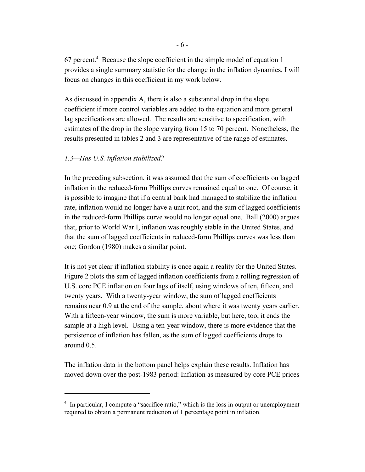$67$  percent.<sup>4</sup> Because the slope coefficient in the simple model of equation 1 provides a single summary statistic for the change in the inflation dynamics, I will focus on changes in this coefficient in my work below.

As discussed in appendix A, there is also a substantial drop in the slope coefficient if more control variables are added to the equation and more general lag specifications are allowed. The results are sensitive to specification, with estimates of the drop in the slope varying from 15 to 70 percent. Nonetheless, the results presented in tables 2 and 3 are representative of the range of estimates.

## *1.3—Has U.S. inflation stabilized?*

In the preceding subsection, it was assumed that the sum of coefficients on lagged inflation in the reduced-form Phillips curves remained equal to one. Of course, it is possible to imagine that if a central bank had managed to stabilize the inflation rate, inflation would no longer have a unit root, and the sum of lagged coefficients in the reduced-form Phillips curve would no longer equal one. Ball (2000) argues that, prior to World War I, inflation was roughly stable in the United States, and that the sum of lagged coefficients in reduced-form Phillips curves was less than one; Gordon (1980) makes a similar point.

It is not yet clear if inflation stability is once again a reality for the United States. Figure 2 plots the sum of lagged inflation coefficients from a rolling regression of U.S. core PCE inflation on four lags of itself, using windows of ten, fifteen, and twenty years. With a twenty-year window, the sum of lagged coefficients remains near 0.9 at the end of the sample, about where it was twenty years earlier. With a fifteen-year window, the sum is more variable, but here, too, it ends the sample at a high level. Using a ten-year window, there is more evidence that the persistence of inflation has fallen, as the sum of lagged coefficients drops to around 0.5.

The inflation data in the bottom panel helps explain these results. Inflation has moved down over the post-1983 period: Inflation as measured by core PCE prices

<sup>&</sup>lt;sup>4</sup> In particular, I compute a "sacrifice ratio," which is the loss in output or unemployment required to obtain a permanent reduction of 1 percentage point in inflation.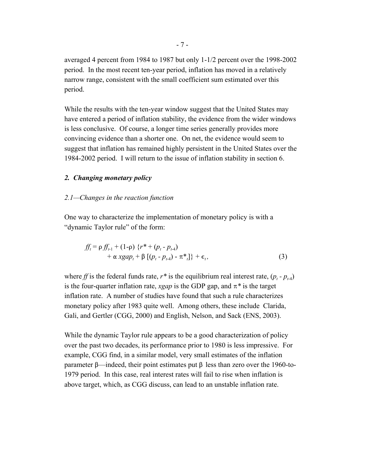averaged 4 percent from 1984 to 1987 but only 1-1/2 percent over the 1998-2002 period. In the most recent ten-year period, inflation has moved in a relatively narrow range, consistent with the small coefficient sum estimated over this period.

While the results with the ten-year window suggest that the United States may have entered a period of inflation stability, the evidence from the wider windows is less conclusive. Of course, a longer time series generally provides more convincing evidence than a shorter one. On net, the evidence would seem to suggest that inflation has remained highly persistent in the United States over the 1984-2002 period. I will return to the issue of inflation stability in section 6.

#### *2. Changing monetary policy*

#### *2.1—Changes in the reaction function*

One way to characterize the implementation of monetary policy is with a "dynamic Taylor rule" of the form:

$$
ff_{t} = \rho f f_{t-1} + (1-\rho) \{r^* + (p_t - p_{t-4}) + \alpha x g a p_t + \beta \left[ (p_t - p_{t-4}) - \pi^* \right] \} + \epsilon_t,
$$
\n(3)

where *ff* is the federal funds rate,  $r^*$  is the equilibrium real interest rate,  $(p_t - p_{t+1})$ is the four-quarter inflation rate, *xgap* is the GDP gap, and  $\pi^*$  is the target inflation rate. A number of studies have found that such a rule characterizes monetary policy after 1983 quite well. Among others, these include Clarida, Gali, and Gertler (CGG, 2000) and English, Nelson, and Sack (ENS, 2003).

While the dynamic Taylor rule appears to be a good characterization of policy over the past two decades, its performance prior to 1980 is less impressive. For example, CGG find, in a similar model, very small estimates of the inflation parameter  $\beta$ —indeed, their point estimates put  $\beta$  less than zero over the 1960-to-1979 period. In this case, real interest rates will fail to rise when inflation is above target, which, as CGG discuss, can lead to an unstable inflation rate.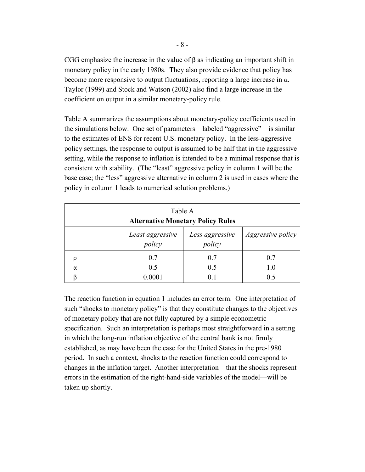CGG emphasize the increase in the value of  $\beta$  as indicating an important shift in monetary policy in the early 1980s. They also provide evidence that policy has become more responsive to output fluctuations, reporting a large increase in  $\alpha$ . Taylor (1999) and Stock and Watson (2002) also find a large increase in the coefficient on output in a similar monetary-policy rule.

Table A summarizes the assumptions about monetary-policy coefficients used in the simulations below. One set of parameters—labeled "aggressive"—is similar to the estimates of ENS for recent U.S. monetary policy. In the less-aggressive policy settings, the response to output is assumed to be half that in the aggressive setting, while the response to inflation is intended to be a minimal response that is consistent with stability. (The "least" aggressive policy in column 1 will be the base case; the "less" aggressive alternative in column 2 is used in cases where the policy in column 1 leads to numerical solution problems.)

| Table A<br><b>Alternative Monetary Policy Rules</b> |                            |                           |                          |  |  |
|-----------------------------------------------------|----------------------------|---------------------------|--------------------------|--|--|
|                                                     | Least aggressive<br>policy | Less aggressive<br>policy | <i>Aggressive policy</i> |  |  |
|                                                     | 0.7                        | 0.7                       | 0.7                      |  |  |
| $\alpha$                                            | 0.5                        | 0.5                       | 1.0                      |  |  |
|                                                     | 0.0001                     | 0.1                       | 0.5                      |  |  |

The reaction function in equation 1 includes an error term. One interpretation of such "shocks to monetary policy" is that they constitute changes to the objectives of monetary policy that are not fully captured by a simple econometric specification. Such an interpretation is perhaps most straightforward in a setting in which the long-run inflation objective of the central bank is not firmly established, as may have been the case for the United States in the pre-1980 period. In such a context, shocks to the reaction function could correspond to changes in the inflation target. Another interpretation—that the shocks represent errors in the estimation of the right-hand-side variables of the model—will be taken up shortly.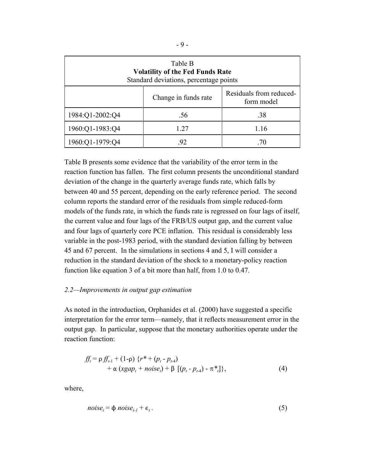| Table B<br><b>Volatility of the Fed Funds Rate</b><br>Standard deviations, percentage points |  |  |  |  |
|----------------------------------------------------------------------------------------------|--|--|--|--|
| Residuals from reduced-<br>Change in funds rate<br>form model                                |  |  |  |  |
| 1984:Q1-2002:Q4<br>.56<br>.38                                                                |  |  |  |  |
| 1960:Q1-1983:Q4<br>1.27<br>1.16                                                              |  |  |  |  |
| 1960:Q1-1979:Q4<br>92<br>.70                                                                 |  |  |  |  |

Table B presents some evidence that the variability of the error term in the reaction function has fallen. The first column presents the unconditional standard deviation of the change in the quarterly average funds rate, which falls by between 40 and 55 percent, depending on the early reference period. The second column reports the standard error of the residuals from simple reduced-form models of the funds rate, in which the funds rate is regressed on four lags of itself, the current value and four lags of the FRB/US output gap, and the current value and four lags of quarterly core PCE inflation. This residual is considerably less variable in the post-1983 period, with the standard deviation falling by between 45 and 67 percent. In the simulations in sections 4 and 5, I will consider a reduction in the standard deviation of the shock to a monetary-policy reaction function like equation 3 of a bit more than half, from 1.0 to 0.47.

### *2.2—Improvements in output gap estimation*

As noted in the introduction, Orphanides et al. (2000) have suggested a specific interpretation for the error term—namely, that it reflects measurement error in the output gap. In particular, suppose that the monetary authorities operate under the reaction function:

$$
ff_{t} = \rho ff_{t-1} + (1-\rho) \{r^* + (p_{t} - p_{t-4}) + \alpha (xgap_{t} + noise_{t}) + \beta [(p_{t} - p_{t-4}) - \pi^{*}] \},
$$
\n(4)

where,

$$
noise_t = \phi \ noise_{t-1} + \epsilon_t. \tag{5}
$$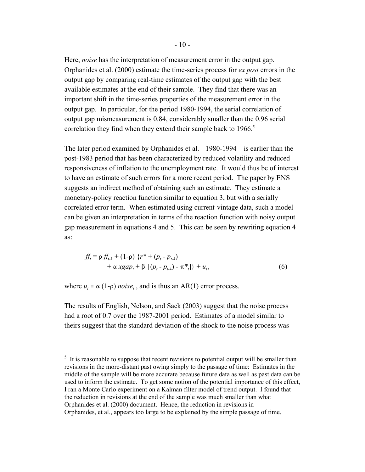Here, *noise* has the interpretation of measurement error in the output gap. Orphanides et al. (2000) estimate the time-series process for *ex post* errors in the output gap by comparing real-time estimates of the output gap with the best available estimates at the end of their sample. They find that there was an important shift in the time-series properties of the measurement error in the output gap. In particular, for the period 1980-1994, the serial correlation of output gap mismeasurement is 0.84, considerably smaller than the 0.96 serial correlation they find when they extend their sample back to  $1966$ <sup>5</sup>

The later period examined by Orphanides et al.*—*1980-1994—is earlier than the post-1983 period that has been characterized by reduced volatility and reduced responsiveness of inflation to the unemployment rate. It would thus be of interest to have an estimate of such errors for a more recent period. The paper by ENS suggests an indirect method of obtaining such an estimate. They estimate a monetary-policy reaction function similar to equation 3, but with a serially correlated error term. When estimated using current-vintage data, such a model can be given an interpretation in terms of the reaction function with noisy output gap measurement in equations 4 and 5. This can be seen by rewriting equation 4 as:

$$
ff_{t} = \rho ff_{t-1} + (1-\rho) \{r^* + (p_{t} - p_{t-4}) + \alpha x gap_{t} + \beta \left[ (p_{t} - p_{t-4}) - \pi^{*} \right] \} + u_{t},
$$
\n(6)

where  $u_t \equiv \alpha (1-\rho)$  *noise<sub>t</sub>*, and is thus an AR(1) error process.

The results of English, Nelson, and Sack (2003) suggest that the noise process had a root of 0.7 over the 1987-2001 period. Estimates of a model similar to theirs suggest that the standard deviation of the shock to the noise process was

 $<sup>5</sup>$  It is reasonable to suppose that recent revisions to potential output will be smaller than</sup> revisions in the more-distant past owing simply to the passage of time: Estimates in the middle of the sample will be more accurate because future data as well as past data can be used to inform the estimate. To get some notion of the potential importance of this effect, I ran a Monte Carlo experiment on a Kalman filter model of trend output. I found that the reduction in revisions at the end of the sample was much smaller than what Orphanides et al. (2000) document. Hence, the reduction in revisions in Orphanides, et al*.*, appears too large to be explained by the simple passage of time.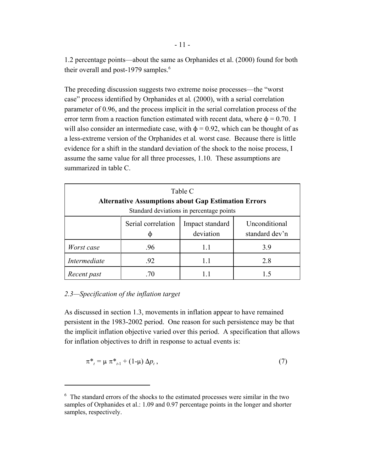1.2 percentage points—about the same as Orphanides et al. (2000) found for both their overall and post-1979 samples. $6$ 

The preceding discussion suggests two extreme noise processes—the "worst case" process identified by Orphanides et al*.* (2000), with a serial correlation parameter of 0.96, and the process implicit in the serial correlation process of the error term from a reaction function estimated with recent data, where  $\phi = 0.70$ . I will also consider an intermediate case, with  $\phi = 0.92$ , which can be thought of as a less-extreme version of the Orphanides et al*.* worst case. Because there is little evidence for a shift in the standard deviation of the shock to the noise process, I assume the same value for all three processes, 1.10. These assumptions are summarized in table C.

| Table C<br><b>Alternative Assumptions about Gap Estimation Errors</b><br>Standard deviations in percentage points |                                                                                       |     |     |  |  |  |  |
|-------------------------------------------------------------------------------------------------------------------|---------------------------------------------------------------------------------------|-----|-----|--|--|--|--|
|                                                                                                                   | Serial correlation<br>Unconditional<br>Impact standard<br>deviation<br>standard dev'n |     |     |  |  |  |  |
| Worst case                                                                                                        | .96                                                                                   | 1.1 | 3.9 |  |  |  |  |
| Intermediate                                                                                                      | .92<br>2.8<br>11                                                                      |     |     |  |  |  |  |
| Recent past                                                                                                       |                                                                                       |     | 15  |  |  |  |  |

## *2.3—Specification of the inflation target*

As discussed in section 1.3, movements in inflation appear to have remained persistent in the 1983-2002 period. One reason for such persistence may be that the implicit inflation objective varied over this period. A specification that allows for inflation objectives to drift in response to actual events is:

$$
\pi^*_{t} = \mu \pi^*_{t-1} + (1 - \mu) \Delta p_t, \qquad (7)
$$

<sup>&</sup>lt;sup>6</sup> The standard errors of the shocks to the estimated processes were similar in the two samples of Orphanides et al.: 1.09 and 0.97 percentage points in the longer and shorter samples, respectively.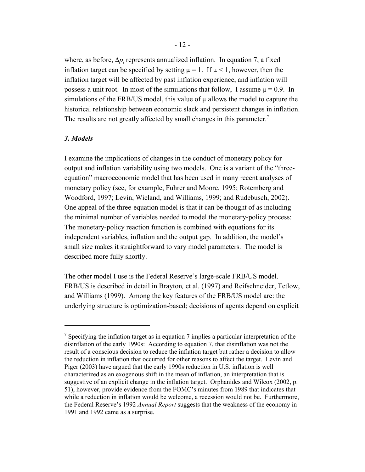where, as before,  $\Delta p_t$  represents annualized inflation. In equation 7, a fixed inflation target can be specified by setting  $\mu = 1$ . If  $\mu < 1$ , however, then the inflation target will be affected by past inflation experience, and inflation will possess a unit root. In most of the simulations that follow, I assume  $\mu = 0.9$ . In simulations of the  $FRB/US$  model, this value of  $\mu$  allows the model to capture the historical relationship between economic slack and persistent changes in inflation. The results are not greatly affected by small changes in this parameter.<sup>7</sup>

### *3. Models*

I examine the implications of changes in the conduct of monetary policy for output and inflation variability using two models. One is a variant of the "threeequation" macroeconomic model that has been used in many recent analyses of monetary policy (see, for example, Fuhrer and Moore, 1995; Rotemberg and Woodford, 1997; Levin, Wieland, and Williams, 1999; and Rudebusch, 2002). One appeal of the three-equation model is that it can be thought of as including the minimal number of variables needed to model the monetary-policy process: The monetary-policy reaction function is combined with equations for its independent variables, inflation and the output gap. In addition, the model's small size makes it straightforward to vary model parameters. The model is described more fully shortly.

The other model I use is the Federal Reserve's large-scale FRB/US model. FRB/US is described in detail in Brayton*,* et al. (1997) and Reifschneider, Tetlow, and Williams (1999). Among the key features of the FRB/US model are: the underlying structure is optimization-based; decisions of agents depend on explicit

<sup>&</sup>lt;sup>7</sup> Specifying the inflation target as in equation 7 implies a particular interpretation of the disinflation of the early 1990s: According to equation 7, that disinflation was not the result of a conscious decision to reduce the inflation target but rather a decision to allow the reduction in inflation that occurred for other reasons to affect the target. Levin and Piger (2003) have argued that the early 1990s reduction in U.S. inflation is well characterized as an exogenous shift in the mean of inflation, an interpretation that is suggestive of an explicit change in the inflation target. Orphanides and Wilcox (2002, p. 51), however, provide evidence from the FOMC's minutes from 1989 that indicates that while a reduction in inflation would be welcome, a recession would not be. Furthermore, the Federal Reserve's 1992 *Annual Report* suggests that the weakness of the economy in 1991 and 1992 came as a surprise.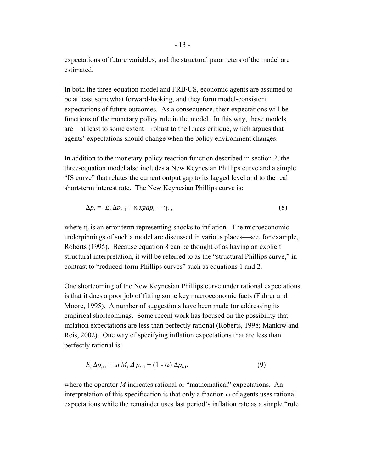expectations of future variables; and the structural parameters of the model are estimated.

In both the three-equation model and FRB/US, economic agents are assumed to be at least somewhat forward-looking, and they form model-consistent expectations of future outcomes. As a consequence, their expectations will be functions of the monetary policy rule in the model. In this way, these models are—at least to some extent—robust to the Lucas critique, which argues that agents' expectations should change when the policy environment changes.

In addition to the monetary-policy reaction function described in section 2, the three-equation model also includes a New Keynesian Phillips curve and a simple "IS curve" that relates the current output gap to its lagged level and to the real short-term interest rate. The New Keynesian Phillips curve is:

$$
\Delta p_t = E_t \Delta p_{t+1} + \kappa x g a p_t + \eta_t, \qquad (8)
$$

where  $\eta_t$  is an error term representing shocks to inflation. The microeconomic underpinnings of such a model are discussed in various places—see, for example, Roberts (1995). Because equation 8 can be thought of as having an explicit structural interpretation, it will be referred to as the "structural Phillips curve," in contrast to "reduced-form Phillips curves" such as equations 1 and 2.

One shortcoming of the New Keynesian Phillips curve under rational expectations is that it does a poor job of fitting some key macroeconomic facts (Fuhrer and Moore, 1995). A number of suggestions have been made for addressing its empirical shortcomings. Some recent work has focused on the possibility that inflation expectations are less than perfectly rational (Roberts, 1998; Mankiw and Reis, 2002). One way of specifying inflation expectations that are less than perfectly rational is:

$$
E_t \Delta p_{t+1} = \omega M_t \Delta p_{t+1} + (1 - \omega) \Delta p_{t-1}, \qquad (9)
$$

where the operator *M* indicates rational or "mathematical" expectations. An interpretation of this specification is that only a fraction  $\omega$  of agents uses rational expectations while the remainder uses last period's inflation rate as a simple "rule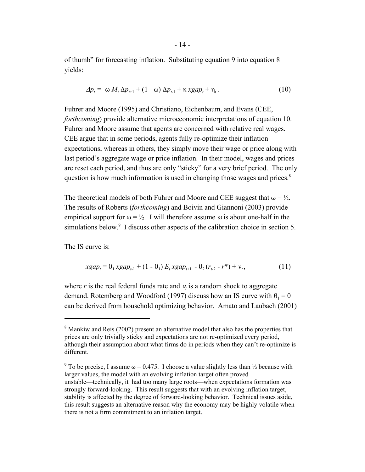of thumb" for forecasting inflation. Substituting equation 9 into equation 8 yields:

$$
\Delta p_t = \omega M_t \Delta p_{t+1} + (1 - \omega) \Delta p_{t-1} + \kappa x g a p_t + \eta_t. \qquad (10)
$$

Fuhrer and Moore (1995) and Christiano, Eichenbaum, and Evans (CEE, *forthcoming*) provide alternative microeconomic interpretations of equation 10. Fuhrer and Moore assume that agents are concerned with relative real wages. CEE argue that in some periods, agents fully re-optimize their inflation expectations, whereas in others, they simply move their wage or price along with last period's aggregate wage or price inflation. In their model, wages and prices are reset each period, and thus are only "sticky" for a very brief period. The only question is how much information is used in changing those wages and prices.<sup>8</sup>

The theoretical models of both Fuhrer and Moore and CEE suggest that  $\omega = \frac{1}{2}$ . The results of Roberts (*forthcoming*) and Boivin and Giannoni (2003) provide empirical support for  $\omega = \frac{1}{2}$ . I will therefore assume  $\omega$  is about one-half in the simulations below.<sup>9</sup> I discuss other aspects of the calibration choice in section 5.

The IS curve is:

$$
xgap_t = \theta_1 xgap_{t-1} + (1 - \theta_1) E_t xgap_{t+1} - \theta_2 (r_{t-2} - r^*) + v_t, \qquad (11)
$$

where  $r$  is the real federal funds rate and  $v_t$  is a random shock to aggregate demand. Rotemberg and Woodford (1997) discuss how an IS curve with  $\theta_1 = 0$ can be derived from household optimizing behavior. Amato and Laubach (2001)

<sup>&</sup>lt;sup>8</sup> Mankiw and Reis (2002) present an alternative model that also has the properties that prices are only trivially sticky and expectations are not re-optimized every period, although their assumption about what firms do in periods when they can't re-optimize is different.

<sup>&</sup>lt;sup>9</sup> To be precise, I assume  $\omega = 0.475$ . I choose a value slightly less than  $\frac{1}{2}$  because with larger values, the model with an evolving inflation target often proved unstable—technically, it had too many large roots—when expectations formation was strongly forward-looking. This result suggests that with an evolving inflation target, stability is affected by the degree of forward-looking behavior. Technical issues aside, this result suggests an alternative reason why the economy may be highly volatile when there is not a firm commitment to an inflation target.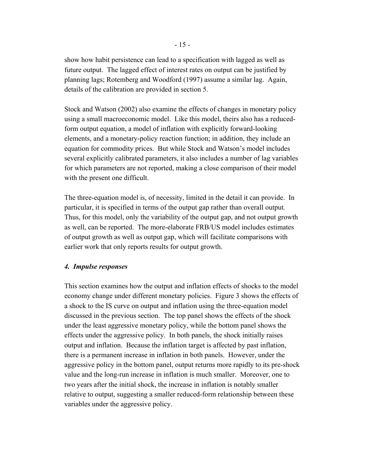show how habit persistence can lead to a specification with lagged as well as future output. The lagged effect of interest rates on output can be justified by planning lags; Rotemberg and Woodford (1997) assume a similar lag. Again, details of the calibration are provided in section 5.

Stock and Watson (2002) also examine the effects of changes in monetary policy using a small macroeconomic model. Like this model, theirs also has a reducedform output equation, a model of inflation with explicitly forward-looking elements, and a monetary-policy reaction function; in addition, they include an equation for commodity prices. But while Stock and Watson's model includes several explicitly calibrated parameters, it also includes a number of lag variables for which parameters are not reported, making a close comparison of their model with the present one difficult.

The three-equation model is, of necessity, limited in the detail it can provide. In particular, it is specified in terms of the output gap rather than overall output. Thus, for this model, only the variability of the output gap, and not output growth as well, can be reported. The more-elaborate FRB/US model includes estimates of output growth as well as output gap, which will facilitate comparisons with earlier work that only reports results for output growth.

#### *4. Impulse responses*

This section examines how the output and inflation effects of shocks to the model economy change under different monetary policies. Figure 3 shows the effects of a shock to the IS curve on output and inflation using the three-equation model discussed in the previous section. The top panel shows the effects of the shock under the least aggressive monetary policy, while the bottom panel shows the effects under the aggressive policy. In both panels, the shock initially raises output and inflation. Because the inflation target is affected by past inflation, there is a permanent increase in inflation in both panels. However, under the aggressive policy in the bottom panel, output returns more rapidly to its pre-shock value and the long-run increase in inflation is much smaller. Moreover, one to two years after the initial shock, the increase in inflation is notably smaller relative to output, suggesting a smaller reduced-form relationship between these variables under the aggressive policy.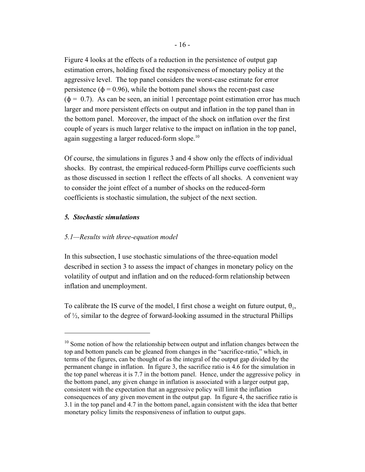Figure 4 looks at the effects of a reduction in the persistence of output gap estimation errors, holding fixed the responsiveness of monetary policy at the aggressive level. The top panel considers the worst-case estimate for error persistence ( $\phi$  = 0.96), while the bottom panel shows the recent-past case  $(\phi = 0.7)$ . As can be seen, an initial 1 percentage point estimation error has much larger and more persistent effects on output and inflation in the top panel than in the bottom panel. Moreover, the impact of the shock on inflation over the first couple of years is much larger relative to the impact on inflation in the top panel, again suggesting a larger reduced-form slope.<sup>10</sup>

Of course, the simulations in figures 3 and 4 show only the effects of individual shocks. By contrast, the empirical reduced-form Phillips curve coefficients such as those discussed in section 1 reflect the effects of all shocks. A convenient way to consider the joint effect of a number of shocks on the reduced-form coefficients is stochastic simulation, the subject of the next section.

#### *5. Stochastic simulations*

#### *5.1—Results with three-equation model*

In this subsection, I use stochastic simulations of the three-equation model described in section 3 to assess the impact of changes in monetary policy on the volatility of output and inflation and on the reduced-form relationship between inflation and unemployment.

To calibrate the IS curve of the model, I first chose a weight on future output,  $\theta_1$ , of ½, similar to the degree of forward-looking assumed in the structural Phillips

 $10$  Some notion of how the relationship between output and inflation changes between the top and bottom panels can be gleaned from changes in the "sacrifice-ratio," which, in terms of the figures, can be thought of as the integral of the output gap divided by the permanent change in inflation. In figure 3, the sacrifice ratio is 4.6 for the simulation in the top panel whereas it is 7.7 in the bottom panel. Hence, under the aggressive policy in the bottom panel, any given change in inflation is associated with a larger output gap, consistent with the expectation that an aggressive policy will limit the inflation consequences of any given movement in the output gap. In figure 4, the sacrifice ratio is 3.1 in the top panel and 4.7 in the bottom panel, again consistent with the idea that better monetary policy limits the responsiveness of inflation to output gaps.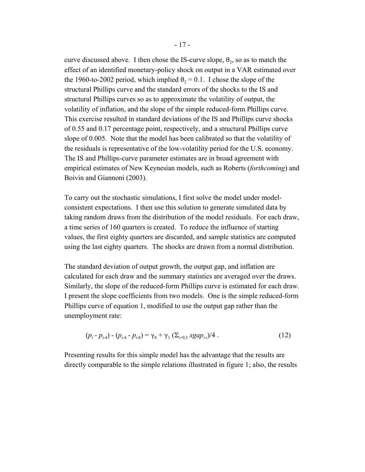curve discussed above. I then chose the IS-curve slope,  $\theta_2$ , so as to match the effect of an identified monetary-policy shock on output in a VAR estimated over the 1960-to-2002 period, which implied  $\theta_2 = 0.1$ . I chose the slope of the structural Phillips curve and the standard errors of the shocks to the IS and structural Phillips curves so as to approximate the volatility of output, the volatility of inflation, and the slope of the simple reduced-form Phillips curve. This exercise resulted in standard deviations of the IS and Phillips curve shocks of 0.55 and 0.17 percentage point, respectively, and a structural Phillips curve slope of 0.005. Note that the model has been calibrated so that the volatility of the residuals is representative of the low-volatility period for the U.S. economy. The IS and Phillips-curve parameter estimates are in broad agreement with empirical estimates of New Keynesian models, such as Roberts (*forthcoming*) and Boivin and Giannoni (2003).

To carry out the stochastic simulations, I first solve the model under modelconsistent expectations. I then use this solution to generate simulated data by taking random draws from the distribution of the model residuals. For each draw, a time series of 160 quarters is created. To reduce the influence of starting values, the first eighty quarters are discarded, and sample statistics are computed using the last eighty quarters. The shocks are drawn from a normal distribution.

The standard deviation of output growth, the output gap, and inflation are calculated for each draw and the summary statistics are averaged over the draws. Similarly, the slope of the reduced-form Phillips curve is estimated for each draw. I present the slope coefficients from two models. One is the simple reduced-form Phillips curve of equation 1, modified to use the output gap rather than the unemployment rate:

$$
(p_{t} - p_{t-4}) - (p_{t-4} - p_{t-8}) = \gamma_0 + \gamma_1 \left( \sum_{i=0,3} xgap_{t-i} \right) / 4 \tag{12}
$$

Presenting results for this simple model has the advantage that the results are directly comparable to the simple relations illustrated in figure 1; also, the results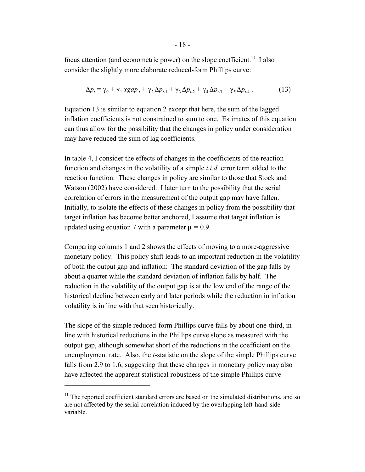focus attention (and econometric power) on the slope coefficient.<sup>11</sup> I also consider the slightly more elaborate reduced-form Phillips curve:

$$
\Delta p_t = \gamma_0 + \gamma_1 x g a p_t + \gamma_2 \Delta p_{t-1} + \gamma_3 \Delta p_{t-2} + \gamma_4 \Delta p_{t-3} + \gamma_5 \Delta p_{t-4} \,. \tag{13}
$$

Equation 13 is similar to equation 2 except that here, the sum of the lagged inflation coefficients is not constrained to sum to one. Estimates of this equation can thus allow for the possibility that the changes in policy under consideration may have reduced the sum of lag coefficients.

In table 4, I consider the effects of changes in the coefficients of the reaction function and changes in the volatility of a simple *i.i.d.* error term added to the reaction function. These changes in policy are similar to those that Stock and Watson (2002) have considered. I later turn to the possibility that the serial correlation of errors in the measurement of the output gap may have fallen. Initially, to isolate the effects of these changes in policy from the possibility that target inflation has become better anchored, I assume that target inflation is updated using equation 7 with a parameter  $\mu = 0.9$ .

Comparing columns 1 and 2 shows the effects of moving to a more-aggressive monetary policy. This policy shift leads to an important reduction in the volatility of both the output gap and inflation: The standard deviation of the gap falls by about a quarter while the standard deviation of inflation falls by half. The reduction in the volatility of the output gap is at the low end of the range of the historical decline between early and later periods while the reduction in inflation volatility is in line with that seen historically.

The slope of the simple reduced-form Phillips curve falls by about one-third, in line with historical reductions in the Phillips curve slope as measured with the output gap, although somewhat short of the reductions in the coefficient on the unemployment rate. Also, the *t*-statistic on the slope of the simple Phillips curve falls from 2.9 to 1.6, suggesting that these changes in monetary policy may also have affected the apparent statistical robustness of the simple Phillips curve

 $11$  The reported coefficient standard errors are based on the simulated distributions, and so are not affected by the serial correlation induced by the overlapping left-hand-side variable.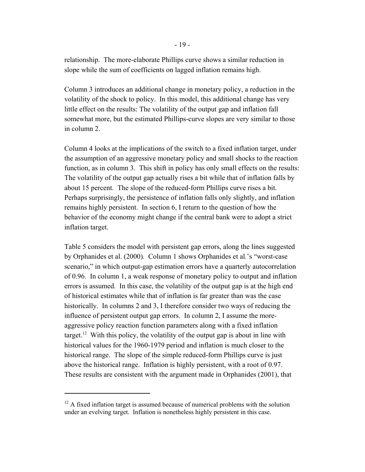relationship. The more-elaborate Phillips curve shows a similar reduction in slope while the sum of coefficients on lagged inflation remains high.

Column 3 introduces an additional change in monetary policy, a reduction in the volatility of the shock to policy. In this model, this additional change has very little effect on the results: The volatility of the output gap and inflation fall somewhat more, but the estimated Phillips-curve slopes are very similar to those in column 2.

Column 4 looks at the implications of the switch to a fixed inflation target, under the assumption of an aggressive monetary policy and small shocks to the reaction function, as in column 3. This shift in policy has only small effects on the results: The volatility of the output gap actually rises a bit while that of inflation falls by about 15 percent. The slope of the reduced-form Phillips curve rises a bit. Perhaps surprisingly, the persistence of inflation falls only slightly, and inflation remains highly persistent. In section 6, I return to the question of how the behavior of the economy might change if the central bank were to adopt a strict inflation target.

Table 5 considers the model with persistent gap errors, along the lines suggested by Orphanides et al. (2000)*.* Column 1 shows Orphanides et al*.*'s "worst-case scenario," in which output-gap estimation errors have a quarterly autocorrelation of 0.96. In column 1, a weak response of monetary policy to output and inflation errors is assumed. In this case, the volatility of the output gap is at the high end of historical estimates while that of inflation is far greater than was the case historically. In columns 2 and 3, I therefore consider two ways of reducing the influence of persistent output gap errors. In column 2, I assume the moreaggressive policy reaction function parameters along with a fixed inflation target.<sup>12</sup> With this policy, the volatility of the output gap is about in line with historical values for the 1960-1979 period and inflation is much closer to the historical range. The slope of the simple reduced-form Phillips curve is just above the historical range. Inflation is highly persistent, with a root of 0.97. These results are consistent with the argument made in Orphanides (2001), that

 $12$  A fixed inflation target is assumed because of numerical problems with the solution under an evelving target. Inflation is nonetheless highly persistent in this case.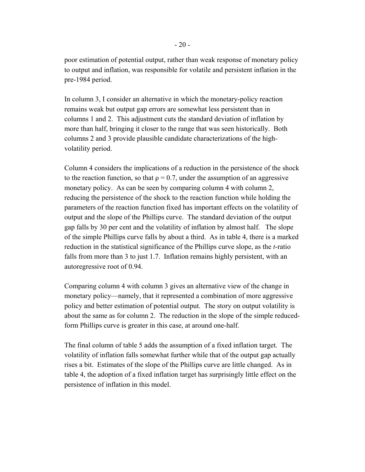poor estimation of potential output, rather than weak response of monetary policy to output and inflation, was responsible for volatile and persistent inflation in the pre-1984 period.

In column 3, I consider an alternative in which the monetary-policy reaction remains weak but output gap errors are somewhat less persistent than in columns 1 and 2. This adjustment cuts the standard deviation of inflation by more than half, bringing it closer to the range that was seen historically. Both columns 2 and 3 provide plausible candidate characterizations of the highvolatility period.

Column 4 considers the implications of a reduction in the persistence of the shock to the reaction function, so that  $\rho = 0.7$ , under the assumption of an aggressive monetary policy. As can be seen by comparing column 4 with column 2, reducing the persistence of the shock to the reaction function while holding the parameters of the reaction function fixed has important effects on the volatility of output and the slope of the Phillips curve. The standard deviation of the output gap falls by 30 per cent and the volatility of inflation by almost half. The slope of the simple Phillips curve falls by about a third. As in table 4, there is a marked reduction in the statistical significance of the Phillips curve slope, as the *t*-ratio falls from more than 3 to just 1.7. Inflation remains highly persistent, with an autoregressive root of 0.94.

Comparing column 4 with column 3 gives an alternative view of the change in monetary policy—namely, that it represented a combination of more aggressive policy and better estimation of potential output. The story on output volatility is about the same as for column 2. The reduction in the slope of the simple reducedform Phillips curve is greater in this case, at around one-half.

The final column of table 5 adds the assumption of a fixed inflation target. The volatility of inflation falls somewhat further while that of the output gap actually rises a bit. Estimates of the slope of the Phillips curve are little changed. As in table 4, the adoption of a fixed inflation target has surprisingly little effect on the persistence of inflation in this model.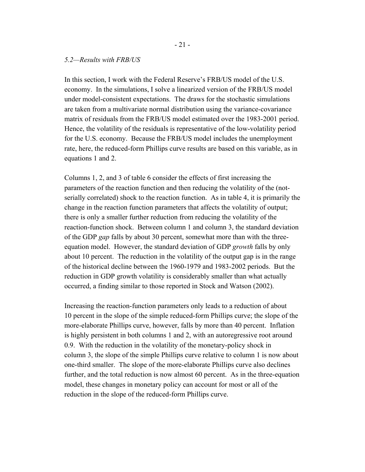#### *5.2—Results with FRB/US*

In this section, I work with the Federal Reserve's FRB/US model of the U.S. economy. In the simulations, I solve a linearized version of the FRB/US model under model-consistent expectations. The draws for the stochastic simulations are taken from a multivariate normal distribution using the variance-covariance matrix of residuals from the FRB/US model estimated over the 1983-2001 period. Hence, the volatility of the residuals is representative of the low-volatility period for the U.S. economy. Because the FRB/US model includes the unemployment rate, here, the reduced-form Phillips curve results are based on this variable, as in equations 1 and 2.

Columns 1, 2, and 3 of table 6 consider the effects of first increasing the parameters of the reaction function and then reducing the volatility of the (notserially correlated) shock to the reaction function. As in table 4, it is primarily the change in the reaction function parameters that affects the volatility of output; there is only a smaller further reduction from reducing the volatility of the reaction-function shock. Between column 1 and column 3, the standard deviation of the GDP *gap* falls by about 30 percent, somewhat more than with the threeequation model. However, the standard deviation of GDP *growth* falls by only about 10 percent. The reduction in the volatility of the output gap is in the range of the historical decline between the 1960-1979 and 1983-2002 periods. But the reduction in GDP growth volatility is considerably smaller than what actually occurred, a finding similar to those reported in Stock and Watson (2002).

Increasing the reaction-function parameters only leads to a reduction of about 10 percent in the slope of the simple reduced-form Phillips curve; the slope of the more-elaborate Phillips curve, however, falls by more than 40 percent. Inflation is highly persistent in both columns 1 and 2, with an autoregressive root around 0.9. With the reduction in the volatility of the monetary-policy shock in column 3, the slope of the simple Phillips curve relative to column 1 is now about one-third smaller. The slope of the more-elaborate Phillips curve also declines further, and the total reduction is now almost 60 percent. As in the three-equation model, these changes in monetary policy can account for most or all of the reduction in the slope of the reduced-form Phillips curve.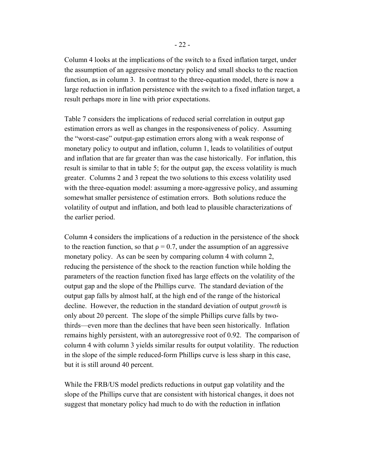Column 4 looks at the implications of the switch to a fixed inflation target, under the assumption of an aggressive monetary policy and small shocks to the reaction function, as in column 3. In contrast to the three-equation model, there is now a large reduction in inflation persistence with the switch to a fixed inflation target, a result perhaps more in line with prior expectations.

Table 7 considers the implications of reduced serial correlation in output gap estimation errors as well as changes in the responsiveness of policy. Assuming the "worst-case" output-gap estimation errors along with a weak response of monetary policy to output and inflation, column 1, leads to volatilities of output and inflation that are far greater than was the case historically. For inflation, this result is similar to that in table 5; for the output gap, the excess volatility is much greater. Columns 2 and 3 repeat the two solutions to this excess volatility used with the three-equation model: assuming a more-aggressive policy, and assuming somewhat smaller persistence of estimation errors. Both solutions reduce the volatility of output and inflation, and both lead to plausible characterizations of the earlier period.

Column 4 considers the implications of a reduction in the persistence of the shock to the reaction function, so that  $\rho = 0.7$ , under the assumption of an aggressive monetary policy. As can be seen by comparing column 4 with column 2, reducing the persistence of the shock to the reaction function while holding the parameters of the reaction function fixed has large effects on the volatility of the output gap and the slope of the Phillips curve. The standard deviation of the output gap falls by almost half, at the high end of the range of the historical decline. However, the reduction in the standard deviation of output *growth* is only about 20 percent. The slope of the simple Phillips curve falls by twothirds—even more than the declines that have been seen historically. Inflation remains highly persistent, with an autoregressive root of 0.92. The comparison of column 4 with column 3 yields similar results for output volatility. The reduction in the slope of the simple reduced-form Phillips curve is less sharp in this case, but it is still around 40 percent.

While the FRB/US model predicts reductions in output gap volatility and the slope of the Phillips curve that are consistent with historical changes, it does not suggest that monetary policy had much to do with the reduction in inflation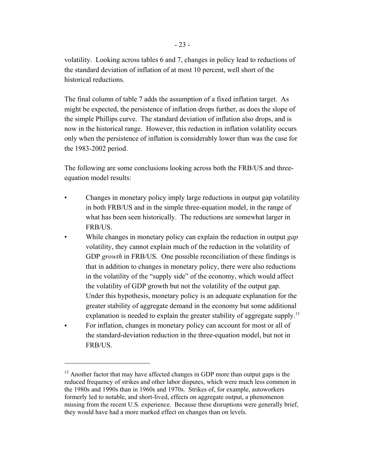volatility. Looking across tables 6 and 7, changes in policy lead to reductions of the standard deviation of inflation of at most 10 percent, well short of the historical reductions.

The final column of table 7 adds the assumption of a fixed inflation target. As might be expected, the persistence of inflation drops further, as does the slope of the simple Phillips curve. The standard deviation of inflation also drops, and is now in the historical range. However, this reduction in inflation volatility occurs only when the persistence of inflation is considerably lower than was the case for the 1983-2002 period.

The following are some conclusions looking across both the FRB/US and threeequation model results:

- Changes in monetary policy imply large reductions in output gap volatility in both FRB/US and in the simple three-equation model, in the range of what has been seen historically. The reductions are somewhat larger in FRB/US.
- While changes in monetary policy can explain the reduction in output *gap* volatility, they cannot explain much of the reduction in the volatility of GDP *growth* in FRB/US. One possible reconciliation of these findings is that in addition to changes in monetary policy, there were also reductions in the volatility of the "supply side" of the economy, which would affect the volatility of GDP growth but not the volatility of the output gap. Under this hypothesis, monetary policy is an adequate explanation for the greater stability of aggregate demand in the economy but some additional explanation is needed to explain the greater stability of aggregate supply.<sup>13</sup>
- For inflation, changes in monetary policy can account for most or all of the standard-deviation reduction in the three-equation model, but not in FRB/US.

<sup>&</sup>lt;sup>13</sup> Another factor that may have affected changes in GDP more than output gaps is the reduced frequency of strikes and other labor disputes, which were much less common in the 1980s and 1990s than in 1960s and 1970s. Strikes of, for example, autoworkers formerly led to notable, and short-lived, effects on aggregate output, a phenomenon missing from the recent U.S. experience. Because these disruptions were generally brief, they would have had a more marked effect on changes than on levels.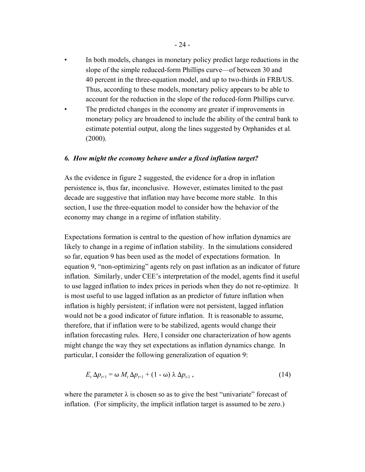- In both models, changes in monetary policy predict large reductions in the slope of the simple reduced-form Phillips curve—of between 30 and 40 percent in the three-equation model, and up to two-thirds in FRB/US. Thus, according to these models, monetary policy appears to be able to account for the reduction in the slope of the reduced-form Phillips curve.
- The predicted changes in the economy are greater if improvements in monetary policy are broadened to include the ability of the central bank to estimate potential output, along the lines suggested by Orphanides et al*.* (2000).

### *6. How might the economy behave under a fixed inflation target?*

As the evidence in figure 2 suggested, the evidence for a drop in inflation persistence is, thus far, inconclusive. However, estimates limited to the past decade are suggestive that inflation may have become more stable. In this section, I use the three-equation model to consider how the behavior of the economy may change in a regime of inflation stability.

Expectations formation is central to the question of how inflation dynamics are likely to change in a regime of inflation stability. In the simulations considered so far, equation 9 has been used as the model of expectations formation. In equation 9, "non-optimizing" agents rely on past inflation as an indicator of future inflation. Similarly, under CEE's interpretation of the model, agents find it useful to use lagged inflation to index prices in periods when they do not re-optimize. It is most useful to use lagged inflation as an predictor of future inflation when inflation is highly persistent; if inflation were not persistent, lagged inflation would not be a good indicator of future inflation. It is reasonable to assume, therefore, that if inflation were to be stabilized, agents would change their inflation forecasting rules. Here, I consider one characterization of how agents might change the way they set expectations as inflation dynamics change. In particular, I consider the following generalization of equation 9:

$$
E_t \Delta p_{t+1} = \omega M_t \Delta p_{t+1} + (1 - \omega) \lambda \Delta p_{t+1}, \qquad (14)
$$

where the parameter  $\lambda$  is chosen so as to give the best "univariate" forecast of inflation. (For simplicity, the implicit inflation target is assumed to be zero.)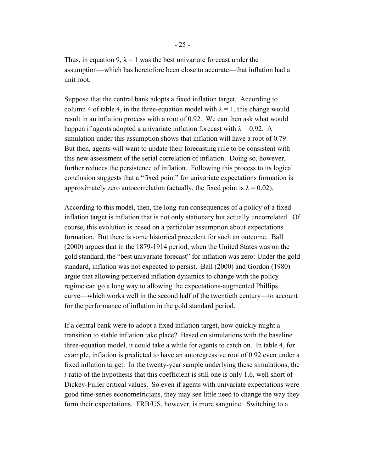Thus, in equation 9,  $\lambda = 1$  was the best univariate forecast under the assumption—which has heretofore been close to accurate—that inflation had a unit root.

Suppose that the central bank adopts a fixed inflation target. According to column 4 of table 4, in the three-equation model with  $\lambda = 1$ , this change would result in an inflation process with a root of 0.92. We can then ask what would happen if agents adopted a univariate inflation forecast with  $\lambda = 0.92$ . A simulation under this assumption shows that inflation will have a root of 0.79. But then, agents will want to update their forecasting rule to be consistent with this new assessment of the serial correlation of inflation. Doing so, however, further reduces the persistence of inflation. Following this process to its logical conclusion suggests that a "fixed point" for univariate expectations formation is approximately zero autocorrelation (actually, the fixed point is  $\lambda = 0.02$ ).

According to this model, then, the long-run consequences of a policy of a fixed inflation target is inflation that is not only stationary but actually uncorrelated. Of course, this evolution is based on a particular assumption about expectations formation. But there is some historical precedent for such an outcome. Ball (2000) argues that in the 1879-1914 period, when the United States was on the gold standard, the "best univariate forecast" for inflation was zero: Under the gold standard, inflation was not expected to persist. Ball (2000) and Gordon (1980) argue that allowing perceived inflation dynamics to change with the policy regime can go a long way to allowing the expectations-augmented Phillips curve—which works well in the second half of the twentieth century—to account for the performance of inflation in the gold standard period.

If a central bank were to adopt a fixed inflation target, how quickly might a transition to stable inflation take place? Based on simulations with the baseline three-equation model, it could take a while for agents to catch on. In table 4, for example, inflation is predicted to have an autoregressive root of 0.92 even under a fixed inflation target. In the twenty-year sample underlying these simulations, the *t-*ratio of the hypothesis that this coefficient is still one is only 1.6, well short of Dickey-Fuller critical values. So even if agents with univariate expectations were good time-series econometricians, they may see little need to change the way they form their expectations. FRB/US, however, is more sanguine: Switching to a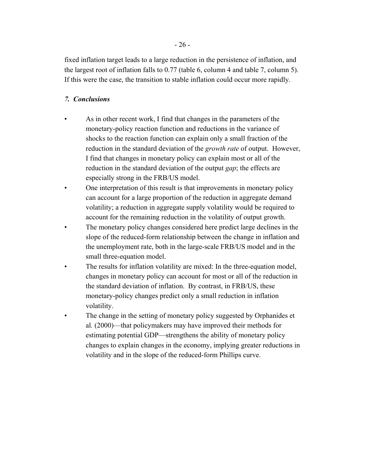fixed inflation target leads to a large reduction in the persistence of inflation, and the largest root of inflation falls to 0.77 (table 6, column 4 and table 7, column 5). If this were the case, the transition to stable inflation could occur more rapidly.

# *7. Conclusions*

- As in other recent work, I find that changes in the parameters of the monetary-policy reaction function and reductions in the variance of shocks to the reaction function can explain only a small fraction of the reduction in the standard deviation of the *growth rate* of output. However, I find that changes in monetary policy can explain most or all of the reduction in the standard deviation of the output *gap*; the effects are especially strong in the FRB/US model.
- One interpretation of this result is that improvements in monetary policy can account for a large proportion of the reduction in aggregate demand volatility; a reduction in aggregate supply volatility would be required to account for the remaining reduction in the volatility of output growth.
- The monetary policy changes considered here predict large declines in the slope of the reduced-form relationship between the change in inflation and the unemployment rate, both in the large-scale FRB/US model and in the small three-equation model.
- The results for inflation volatility are mixed: In the three-equation model, changes in monetary policy can account for most or all of the reduction in the standard deviation of inflation. By contrast, in FRB/US, these monetary-policy changes predict only a small reduction in inflation volatility.
- The change in the setting of monetary policy suggested by Orphanides et al*.* (2000)—that policymakers may have improved their methods for estimating potential GDP—strengthens the ability of monetary policy changes to explain changes in the economy, implying greater reductions in volatility and in the slope of the reduced-form Phillips curve.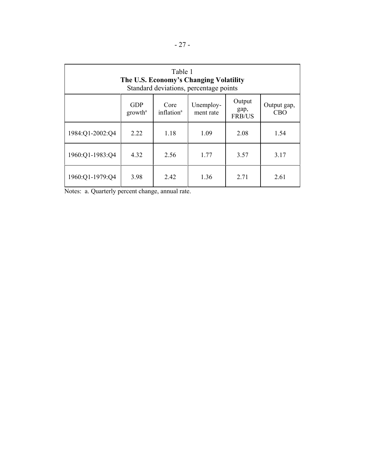| Table 1<br>The U.S. Economy's Changing Volatility<br>Standard deviations, percentage points                                                                   |      |      |      |      |      |  |
|---------------------------------------------------------------------------------------------------------------------------------------------------------------|------|------|------|------|------|--|
| Output<br><b>GDP</b><br>Unemploy-<br>Core<br>Output gap,<br>gap,<br>inflation <sup>a</sup><br><b>CBO</b><br>growth <sup>a</sup><br>ment rate<br><b>FRB/US</b> |      |      |      |      |      |  |
| 1984:Q1-2002:Q4                                                                                                                                               | 2.22 | 1.18 | 1.09 | 2.08 | 1.54 |  |
| 1960:Q1-1983:Q4                                                                                                                                               | 4.32 | 2.56 | 1.77 | 3.57 | 3.17 |  |
| 1960:Q1-1979:Q4                                                                                                                                               | 3.98 | 2.42 | 1.36 | 2.71 | 2.61 |  |

Notes: a. Quarterly percent change, annual rate.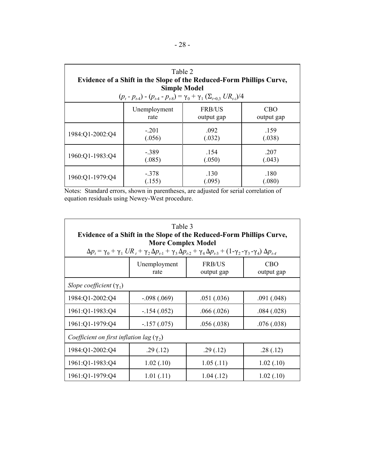| Table 2<br>Evidence of a Shift in the Slope of the Reduced-Form Phillips Curve,<br><b>Simple Model</b><br>$(p_t - p_{t-4}) - (p_{t-4} - p_{t-8}) = \gamma_0 + \gamma_1 (\Sigma_{i=0,3} U R_{t-i})/4$ |                                                       |                |                |  |  |
|------------------------------------------------------------------------------------------------------------------------------------------------------------------------------------------------------|-------------------------------------------------------|----------------|----------------|--|--|
| Unemployment<br><b>FRB/US</b><br><b>CBO</b><br>output gap<br>output gap<br>rate                                                                                                                      |                                                       |                |                |  |  |
| 1984:Q1-2002:Q4                                                                                                                                                                                      | $-.201$<br>(.056)                                     | .092<br>(.032) | .159<br>(.038) |  |  |
| 1960:Q1-1983:Q4                                                                                                                                                                                      | .154<br>$-.389$<br>.207<br>(.050)<br>(.085)<br>(.043) |                |                |  |  |
| 1960:Q1-1979:Q4                                                                                                                                                                                      | $-.378$<br>(.155)                                     | .130<br>(.095) | .180<br>(.080) |  |  |

Notes: Standard errors, shown in parentheses, are adjusted for serial correlation of equation residuals using Newey-West procedure.

| Table 3<br>Evidence of a Shift in the Slope of the Reduced-Form Phillips Curve,<br><b>More Complex Model</b><br>$\Delta p_t = \gamma_0 + \gamma_1 U R_t + \gamma_2 \Delta p_{t-1} + \gamma_3 \Delta p_{t-2} + \gamma_4 \Delta p_{t-3} + (1 - \gamma_2 - \gamma_3 - \gamma_4) \Delta p_{t-4}$ |               |            |            |  |  |  |
|----------------------------------------------------------------------------------------------------------------------------------------------------------------------------------------------------------------------------------------------------------------------------------------------|---------------|------------|------------|--|--|--|
| Unemployment<br><b>FRB/US</b><br><b>CBO</b><br>output gap<br>output gap<br>rate                                                                                                                                                                                                              |               |            |            |  |  |  |
| Slope coefficient $(\gamma_1)$                                                                                                                                                                                                                                                               |               |            |            |  |  |  |
| 1984:Q1-2002:Q4                                                                                                                                                                                                                                                                              | $-.098(.069)$ | .051(.036) | .091(.048) |  |  |  |
| 1961:Q1-1983:Q4                                                                                                                                                                                                                                                                              | $-.154(.052)$ | .066(.026) | .084(.028) |  |  |  |
| 1961:Q1-1979:Q4                                                                                                                                                                                                                                                                              | $-.157(.075)$ | .056(.038) | .076(.038) |  |  |  |
| Coefficient on first inflation lag $(\gamma_2)$                                                                                                                                                                                                                                              |               |            |            |  |  |  |
| 1984:Q1-2002:Q4                                                                                                                                                                                                                                                                              | .29(.12)      | .29(.12)   | .28(.12)   |  |  |  |
| 1961:Q1-1983:Q4                                                                                                                                                                                                                                                                              | 1.02(.10)     | 1.05(.11)  | 1.02(.10)  |  |  |  |
| 1961:Q1-1979:Q4                                                                                                                                                                                                                                                                              | 1.01(0.11)    | 1.04(0.12) | 1.02(0.10) |  |  |  |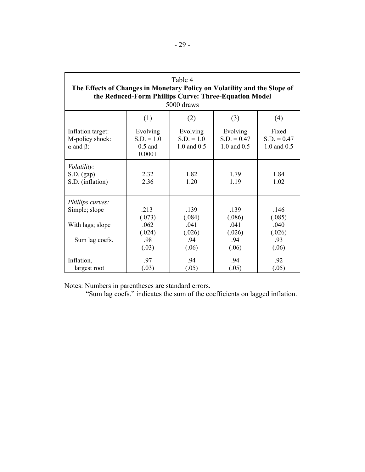| Table 4<br>The Effects of Changes in Monetary Policy on Volatility and the Slope of<br>the Reduced-Form Phillips Curve: Three-Equation Model<br>5000 draws |                                                  |                                                  |                                                  |                                                  |  |  |
|------------------------------------------------------------------------------------------------------------------------------------------------------------|--------------------------------------------------|--------------------------------------------------|--------------------------------------------------|--------------------------------------------------|--|--|
|                                                                                                                                                            | (1)                                              | (2)                                              | (3)                                              | (4)                                              |  |  |
| Inflation target:<br>M-policy shock:<br>$\alpha$ and $\beta$ :                                                                                             | Evolving<br>$S.D. = 1.0$<br>$0.5$ and<br>0.0001  | Evolving<br>$S.D. = 1.0$<br>1.0 and 0.5          | Evolving<br>$S.D. = 0.47$<br>1.0 and 0.5         | Fixed<br>$S.D. = 0.47$<br>1.0 and 0.5            |  |  |
| Volatility:<br>S.D. (gap)<br>S.D. (inflation)                                                                                                              | 2.32<br>2.36                                     | 1.82<br>120                                      | 1.79<br>1.19                                     | 1.84<br>1.02                                     |  |  |
| Phillips curves:<br>Simple; slope<br>With lags; slope<br>Sum lag coefs.                                                                                    | .213<br>(.073)<br>.062<br>(.024)<br>.98<br>(.03) | .139<br>(.084)<br>.041<br>(.026)<br>.94<br>(.06) | .139<br>(.086)<br>.041<br>(.026)<br>.94<br>(.06) | .146<br>(.085)<br>.040<br>(.026)<br>.93<br>(.06) |  |  |
| Inflation,<br>largest root                                                                                                                                 | .97<br>(.03)                                     | .94<br>(.05)                                     | .94<br>(.05)                                     | .92<br>(.05)                                     |  |  |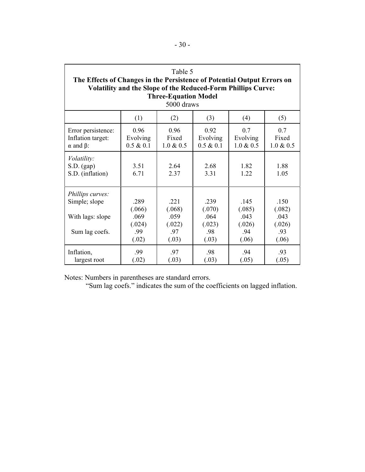| Table 5<br>The Effects of Changes in the Persistence of Potential Output Errors on<br><b>Volatility and the Slope of the Reduced-Form Phillips Curve:</b><br><b>Three-Equation Model</b><br>5000 draws |                                                  |                                                  |                                                  |                                                  |                                                  |
|--------------------------------------------------------------------------------------------------------------------------------------------------------------------------------------------------------|--------------------------------------------------|--------------------------------------------------|--------------------------------------------------|--------------------------------------------------|--------------------------------------------------|
|                                                                                                                                                                                                        | (1)                                              | (2)                                              | (3)                                              | (4)                                              | (5)                                              |
| Error persistence:<br>Inflation target:<br>$\alpha$ and $\beta$ :                                                                                                                                      | 0.96<br>Evolving<br>$0.5 \& 0.1$                 | 0.96<br>Fixed<br>$1.0 \& 0.5$                    | 0.92<br>Evolving<br>0.5 & 0.1                    | 07<br>Evolving<br>$1.0 \& 0.5$                   | 07<br>Fixed<br>$1.0 \& 0.5$                      |
| Volatility:<br>S.D. (gap)<br>S.D. (inflation)                                                                                                                                                          | 3.51<br>6.71                                     | 2.64<br>2.37                                     | 2.68<br>3.31                                     | 1.82<br>1.22                                     | 1.88<br>1.05                                     |
| Phillips curves:<br>Simple; slope<br>With lags: slope<br>Sum lag coefs.                                                                                                                                | .289<br>(.066)<br>.069<br>(.024)<br>.99<br>(.02) | .221<br>(.068)<br>.059<br>(.022)<br>.97<br>(.03) | .239<br>(.070)<br>.064<br>(.023)<br>.98<br>(.03) | .145<br>(.085)<br>.043<br>(.026)<br>.94<br>(.06) | .150<br>(.082)<br>.043<br>(.026)<br>.93<br>(.06) |
| Inflation,<br>largest root                                                                                                                                                                             | .99<br>(.02)                                     | .97<br>(.03)                                     | .98<br>(.03)                                     | .94<br>(.05)                                     | .93<br>(.05)                                     |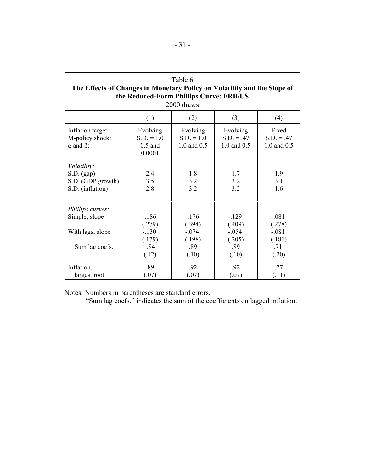| Table 6<br>The Effects of Changes in Monetary Policy on Volatility and the Slope of<br>the Reduced-Form Phillips Curve: FRB/US<br>2000 draws |                                                       |                                                        |                                                        |                                                        |  |  |
|----------------------------------------------------------------------------------------------------------------------------------------------|-------------------------------------------------------|--------------------------------------------------------|--------------------------------------------------------|--------------------------------------------------------|--|--|
|                                                                                                                                              | (1)                                                   | (2)                                                    | (3)                                                    | (4)                                                    |  |  |
| Inflation target:<br>M-policy shock:<br>$\alpha$ and $\beta$ :                                                                               | Evolving<br>$S.D. = 1.0$<br>$0.5$ and<br>0.0001       | Evolving<br>$S.D. = 1.0$<br>1.0 and 0.5                | Evolving<br>$S.D. = .47$<br>1.0 and 0.5                | Fixed<br>$S.D. = .47$<br>1.0 and 0.5                   |  |  |
| Volatility:<br>S.D. (gap)<br>S.D. (GDP growth)<br>S.D. (inflation)                                                                           | 2.4<br>3.5<br>2.8                                     | 1.8<br>3.2<br>3.2                                      | 1.7<br>3.2<br>3.2                                      | 1.9<br>3.1<br>1.6                                      |  |  |
| Phillips curves:<br>Simple; slope<br>With lags; slope<br>Sum lag coefs.                                                                      | $-186$<br>(.279)<br>$-.130$<br>(.179)<br>.84<br>(.12) | $-.176$<br>(.394)<br>$-.074$<br>(.198)<br>.89<br>(.10) | $-.129$<br>(.409)<br>$-.054$<br>(.205)<br>.89<br>(.10) | $-.081$<br>(.278)<br>$-.081$<br>(.181)<br>.71<br>(.20) |  |  |
| Inflation,<br>largest root                                                                                                                   | .89<br>(.07)                                          | .92<br>(.07)                                           | .92<br>(.07)                                           | .77<br>(.11)                                           |  |  |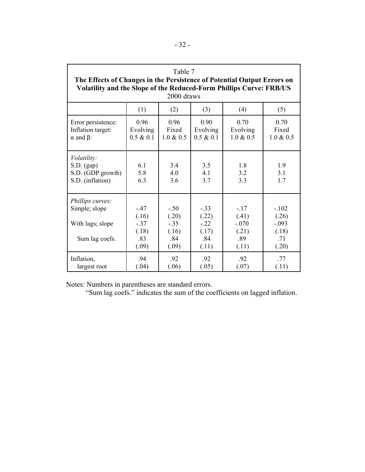| Table 7<br>The Effects of Changes in the Persistence of Potential Output Errors on<br><b>Volatility and the Slope of the Reduced-Form Phillips Curve: FRB/US</b><br>2000 draws |                                                   |                                                    |                                                    |                                                     |                                                      |
|--------------------------------------------------------------------------------------------------------------------------------------------------------------------------------|---------------------------------------------------|----------------------------------------------------|----------------------------------------------------|-----------------------------------------------------|------------------------------------------------------|
|                                                                                                                                                                                | (1)                                               | (2)                                                | (3)                                                | (4)                                                 | (5)                                                  |
| Error persistence:<br>Inflation target:<br>$\alpha$ and $\beta$ :                                                                                                              | 0.96<br>Evolving<br>0.5 & 0.1                     | 0.96<br>Fixed<br>$1.0 \& 0.5$                      | 0.90<br>Evolving<br>$0.5 \& 0.1$                   | 0.70<br>Evolving<br>$1.0 \& 0.5$                    | 0.70<br>Fixed<br>$1.0 \& 0.5$                        |
| Volatility:<br>S.D. (gap)<br>S.D. (GDP growth)<br>S.D. (inflation)                                                                                                             | 6.1<br>5.8<br>6.3                                 | 3.4<br>4.0<br>3.6                                  | 3.5<br>41<br>3.7                                   | 1.8<br>3.2<br>3.3                                   | 1.9<br>3.1<br>1.7                                    |
| Phillips curves:<br>Simple; slope<br>With lags; slope<br>Sum lag coefs.                                                                                                        | $-.47$<br>(.16)<br>$-37$<br>(.18)<br>.83<br>(.09) | $-.50$<br>(.20)<br>$-.35$<br>(.16)<br>.84<br>(.09) | $-.33$<br>(.22)<br>$-.22$<br>(.17)<br>.84<br>(.11) | $-.17$<br>(.41)<br>$-.070$<br>(.21)<br>.89<br>(.11) | $-.102$<br>(.26)<br>$-.093$<br>(.18)<br>.71<br>(.20) |
| Inflation,<br>largest root                                                                                                                                                     | .94<br>(.04)                                      | .92<br>(.06)                                       | .92<br>(.05)                                       | .92<br>(.07)                                        | .77<br>(.11)                                         |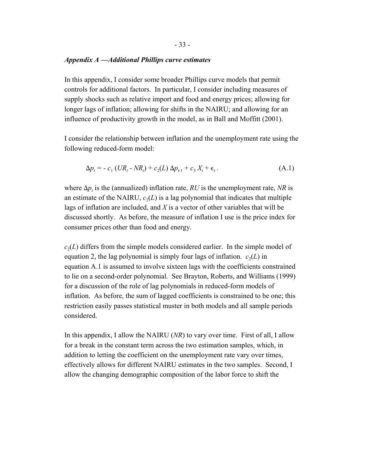#### *Appendix A —Additional Phillips curve estimates*

In this appendix, I consider some broader Phillips curve models that permit controls for additional factors. In particular, I consider including measures of supply shocks such as relative import and food and energy prices; allowing for longer lags of inflation; allowing for shifts in the NAIRU; and allowing for an influence of productivity growth in the model, as in Ball and Moffitt (2001).

I consider the relationship between inflation and the unemployment rate using the following reduced-form model:

$$
\Delta p_t = -c_1 \left( UR_t - NR_t \right) + c_2(L) \Delta p_{t-1} + c_3 X_t + \epsilon_t. \tag{A.1}
$$

where  $\Delta p_t$  is the (annualized) inflation rate, *RU* is the unemployment rate, *NR* is an estimate of the NAIRU,  $c_2(L)$  is a lag polynomial that indicates that multiple lags of inflation are included, and *X* is a vector of other variables that will be discussed shortly. As before, the measure of inflation I use is the price index for consumer prices other than food and energy.

 $c_2(L)$  differs from the simple models considered earlier. In the simple model of equation 2, the lag polynomial is simply four lags of inflation.  $c_2(L)$  in equation A.1 is assumed to involve sixteen lags with the coefficients constrained to lie on a second-order polynomial. See Brayton, Roberts, and Williams (1999) for a discussion of the role of lag polynomials in reduced-form models of inflation. As before, the sum of lagged coefficients is constrained to be one; this restriction easily passes statistical muster in both models and all sample periods considered.

In this appendix, I allow the NAIRU (*NR*) to vary over time. First of all, I allow for a break in the constant term across the two estimation samples, which, in addition to letting the coefficient on the unemployment rate vary over times, effectively allows for different NAIRU estimates in the two samples. Second, I allow the changing demographic composition of the labor force to shift the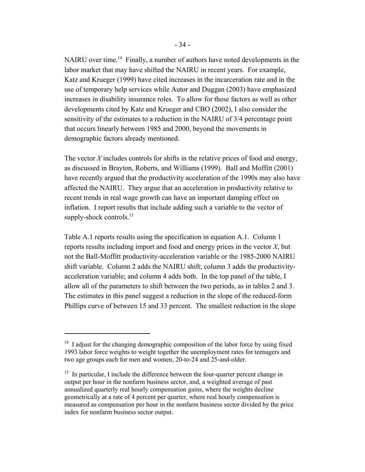NAIRU over time.<sup>14</sup> Finally, a number of authors have noted developments in the labor market that may have shifted the NAIRU in recent years. For example, Katz and Krueger (1999) have cited increases in the incarceration rate and in the use of temporary help services while Autor and Duggan (2003) have emphasized increases in disability insurance roles. To allow for these factors as well as other developments cited by Katz and Krueger and CBO (2002), I also consider the sensitivity of the estimates to a reduction in the NAIRU of 3/4 percentage point that occurs linearly between 1985 and 2000, beyond the movements in demographic factors already mentioned.

The vector *X* includes controls for shifts in the relative prices of food and energy, as discussed in Brayton, Roberts, and Williams (1999). Ball and Moffitt (2001) have recently argued that the productivity acceleration of the 1990s may also have affected the NAIRU. They argue that an acceleration in productivity relative to recent trends in real wage growth can have an important damping effect on inflation. I report results that include adding such a variable to the vector of supply-shock controls.<sup>15</sup>

Table A.1 reports results using the specification in equation A.1. Column 1 reports results including import and food and energy prices in the vector *X*, but not the Ball-Moffitt productivity-acceleration variable or the 1985-2000 NAIRU shift variable. Column 2 adds the NAIRU shift; column 3 adds the productivityacceleration variable; and column 4 adds both. In the top panel of the table, I allow all of the parameters to shift between the two periods, as in tables 2 and 3. The estimates in this panel suggest a reduction in the slope of the reduced-form Phillips curve of between 15 and 33 percent. The smallest reduction in the slope

 $14$  I adjust for the changing demographic composition of the labor force by using fixed 1993 labor force weights to weight together the unemployment rates for teenagers and two age groups each for men and women, 20-to-24 and 25-and-older.

 $15$  In particular, I include the difference between the four-quarter percent change in output per hour in the nonfarm business sector, and, a weighted average of past annualized quarterly real hourly compensation gains, where the weights decline geometrically at a rate of 4 percent per quarter, where real hourly compensation is measured as compensation per hour in the nonfarm business sector divided by the price index for nonfarm business sector output.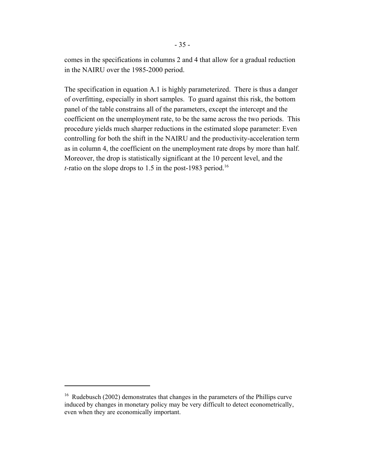comes in the specifications in columns 2 and 4 that allow for a gradual reduction in the NAIRU over the 1985-2000 period.

The specification in equation A.1 is highly parameterized. There is thus a danger of overfitting, especially in short samples. To guard against this risk, the bottom panel of the table constrains all of the parameters, except the intercept and the coefficient on the unemployment rate, to be the same across the two periods. This procedure yields much sharper reductions in the estimated slope parameter: Even controlling for both the shift in the NAIRU and the productivity-acceleration term as in column 4, the coefficient on the unemployment rate drops by more than half. Moreover, the drop is statistically significant at the 10 percent level, and the *t*-ratio on the slope drops to 1.5 in the post-1983 period.<sup>16</sup>

<sup>&</sup>lt;sup>16</sup> Rudebusch (2002) demonstrates that changes in the parameters of the Phillips curve induced by changes in monetary policy may be very difficult to detect econometrically, even when they are economically important.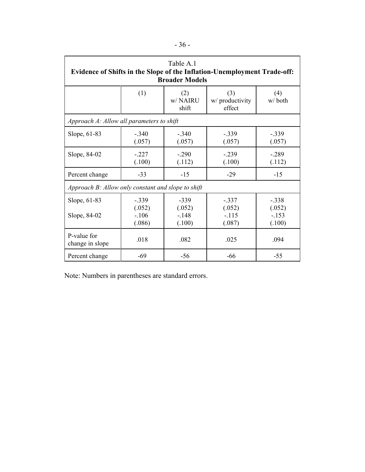| Table A.1<br>Evidence of Shifts in the Slope of the Inflation-Unemployment Trade-off:<br><b>Broader Models</b> |                                        |                                       |                                        |                                        |  |
|----------------------------------------------------------------------------------------------------------------|----------------------------------------|---------------------------------------|----------------------------------------|----------------------------------------|--|
|                                                                                                                | (1)                                    | (2)<br>w/NAIRU<br>shift               | (3)<br>w/ productivity<br>effect       | (4)<br>w/both                          |  |
| Approach A: Allow all parameters to shift                                                                      |                                        |                                       |                                        |                                        |  |
| Slope, 61-83                                                                                                   | $-.340$<br>(.057)                      | $-.340$<br>(.057)                     | $-.339$<br>(.057)                      | $-.339$<br>(.057)                      |  |
| Slope, 84-02                                                                                                   | $-.227$<br>(.100)                      | $-.290$<br>(.112)                     | $-.239$<br>(.100)                      | $-.289$<br>(.112)                      |  |
| Percent change                                                                                                 | $-33$                                  | $-15$                                 | $-29$                                  | $-15$                                  |  |
| Approach B: Allow only constant and slope to shift                                                             |                                        |                                       |                                        |                                        |  |
| Slope, 61-83<br>Slope, 84-02                                                                                   | $-.339$<br>(.052)<br>$-.106$<br>(.086) | $-339$<br>(.052)<br>$-.148$<br>(.100) | $-.337$<br>(.052)<br>$-.115$<br>(.087) | $-.338$<br>(.052)<br>$-.153$<br>(.100) |  |
| P-value for<br>change in slope                                                                                 | .018                                   | .082                                  | .025                                   | .094                                   |  |
| Percent change                                                                                                 | $-69$                                  | $-56$                                 | $-66$                                  | $-55$                                  |  |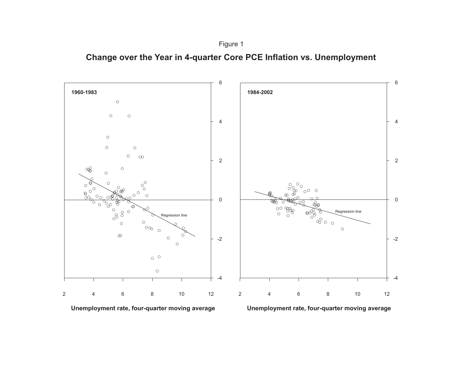

**Change over the Year in 4-quarter Core PCE Inflation vs. Unemployment**





**Unemployment rate, four-quarter moving average**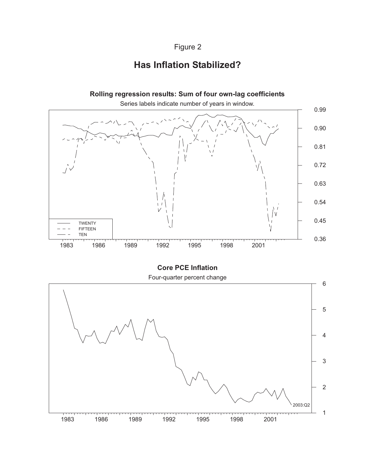# Figure 2

# **Has Inflation Stabilized?**



**Core PCE Inflation**

Four-quarter percent change

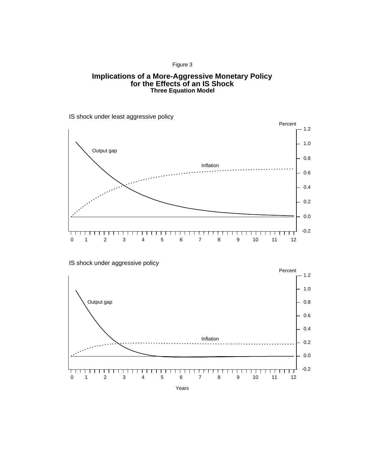#### Figure 3

#### **Implications of a More-Aggressive Monetary Policy for the Effects of an IS Shock Three Equation Model**

IS shock under least aggressive policy



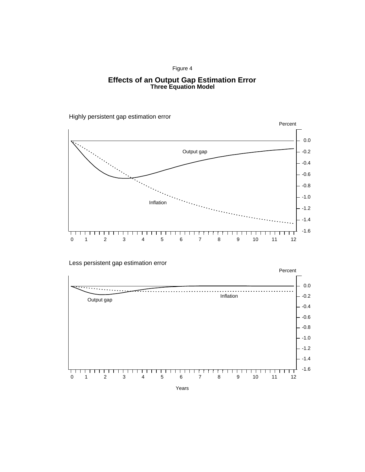#### Figure 4

#### **Effects of an Output Gap Estimation Error Three Equation Model**

Highly persistent gap estimation error



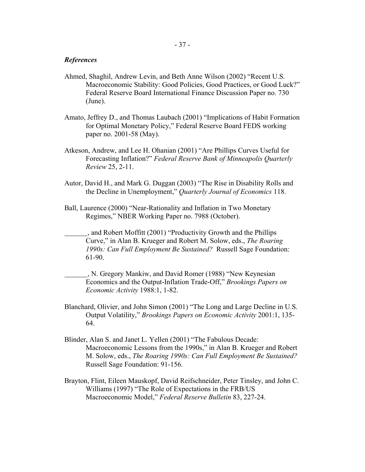#### *References*

- Ahmed, Shaghil, Andrew Levin, and Beth Anne Wilson (2002) "Recent U.S. Macroeconomic Stability: Good Policies, Good Practices, or Good Luck?" Federal Reserve Board International Finance Discussion Paper no. 730 (June).
- Amato, Jeffrey D., and Thomas Laubach (2001) "Implications of Habit Formation for Optimal Monetary Policy," Federal Reserve Board FEDS working paper no. 2001-58 (May).
- Atkeson, Andrew, and Lee H. Ohanian (2001) "Are Phillips Curves Useful for Forecasting Inflation?" *Federal Reserve Bank of Minneapolis Quarterly Review* 25, 2-11.
- Autor, David H., and Mark G. Duggan (2003) "The Rise in Disability Rolls and the Decline in Unemployment," *Quarterly Journal of Economics* 118.
- Ball, Laurence (2000) "Near-Rationality and Inflation in Two Monetary Regimes," NBER Working Paper no. 7988 (October).

 , and Robert Moffitt (2001) "Productivity Growth and the Phillips Curve," in Alan B. Krueger and Robert M. Solow, eds., *The Roaring 1990s: Can Full Employment Be Sustained?* Russell Sage Foundation: 61-90.

- , N. Gregory Mankiw, and David Romer (1988) "New Keynesian Economics and the Output-Inflation Trade-Off," *Brookings Papers on Economic Activity* 1988:1, 1-82.
- Blanchard, Olivier, and John Simon (2001) "The Long and Large Decline in U.S. Output Volatility," *Brookings Papers on Economic Activity* 2001:1, 135- 64.
- Blinder, Alan S. and Janet L. Yellen (2001) "The Fabulous Decade: Macroeconomic Lessons from the 1990s," in Alan B. Krueger and Robert M. Solow, eds., *The Roaring 1990s: Can Full Employment Be Sustained?* Russell Sage Foundation: 91-156.
- Brayton, Flint, Eileen Mauskopf, David Reifschneider, Peter Tinsley, and John C. Williams (1997) "The Role of Expectations in the FRB/US Macroeconomic Model," *Federal Reserve Bulletin* 83, 227-24.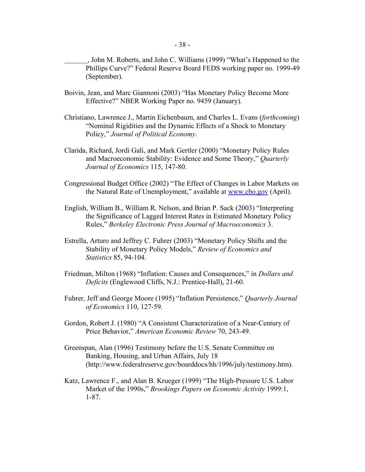, John M. Roberts, and John C. Williams (1999) "What's Happened to the Phillips Curve?" Federal Reserve Board FEDS working paper no. 1999-49 (September).

- Boivin, Jean, and Marc Giannoni (2003) "Has Monetary Policy Become More Effective?" NBER Working Paper no. 9459 (January).
- Christiano, Lawrence J., Martin Eichenbaum, and Charles L. Evans (*forthcoming*) "Nominal Rigidities and the Dynamic Effects of a Shock to Monetary Policy," *Journal of Political Economy*.
- Clarida, Richard, Jordi Gali, and Mark Gertler (2000) "Monetary Policy Rules and Macroeconomic Stability: Evidence and Some Theory," *Quarterly Journal of Economics* 115, 147-80.
- Congressional Budget Office (2002) "The Effect of Changes in Labor Markets on the Natural Rate of Unemployment," available at www.cbo.gov (April).
- English, William B., William R. Nelson, and Brian P. Sack (2003) "Interpreting the Significance of Lagged Interest Rates in Estimated Monetary Policy Rules," *Berkeley Electronic Press Journal of Macroeconomics* 3.
- Estrella, Arturo and Jeffrey C. Fuhrer (2003) "Monetary Policy Shifts and the Stability of Monetary Policy Models," *Review of Economics and Statistics* 85, 94-104.
- Friedman, Milton (1968) "Inflation: Causes and Consequences," in *Dollars and Deficits* (Englewood Cliffs, N.J.: Prentice-Hall), 21-60.
- Fuhrer, Jeff and George Moore (1995) "Inflation Persistence," *Quarterly Journal of Economics* 110, 127-59*.*
- Gordon, Robert J. (1980) "A Consistent Characterization of a Near-Century of Price Behavior," *American Economic Review* 70, 243-49.
- Greenspan, Alan (1996) Testimony before the U.S. Senate Committee on Banking, Housing, and Urban Affairs, July 18 (http://www.federalreserve.gov/boarddocs/hh/1996/july/testimony.htm).
- Katz, Lawrence F., and Alan B. Krueger (1999) "The High-Pressure U.S. Labor Market of the 1990s," *Brookings Papers on Economic Activity* 1999:1, 1-87.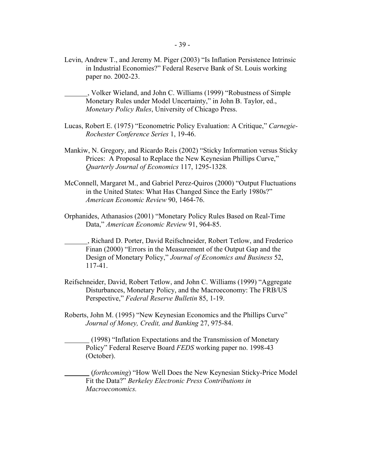Levin, Andrew T., and Jeremy M. Piger (2003) "Is Inflation Persistence Intrinsic in Industrial Economies?" Federal Reserve Bank of St. Louis working paper no. 2002-23.

 , Volker Wieland, and John C. Williams (1999) "Robustness of Simple Monetary Rules under Model Uncertainty," in John B. Taylor, ed., *Monetary Policy Rules*, University of Chicago Press.

- Lucas, Robert E. (1975) "Econometric Policy Evaluation: A Critique," *Carnegie-Rochester Conference Series* 1, 19-46.
- Mankiw, N. Gregory, and Ricardo Reis (2002) "Sticky Information versus Sticky Prices: A Proposal to Replace the New Keynesian Phillips Curve," *Quarterly Journal of Economics* 117, 1295-1328*.*
- McConnell, Margaret M., and Gabriel Perez-Quiros (2000) "Output Fluctuations in the United States: What Has Changed Since the Early 1980s?" *American Economic Review* 90, 1464-76.
- Orphanides, Athanasios (2001) "Monetary Policy Rules Based on Real-Time Data," *American Economic Review* 91, 964-85.
- , Richard D. Porter, David Reifschneider, Robert Tetlow, and Frederico Finan (2000) "Errors in the Measurement of the Output Gap and the Design of Monetary Policy," *Journal of Economics and Business* 52, 117-41.
- Reifschneider, David, Robert Tetlow, and John C. Williams (1999) "Aggregate Disturbances, Monetary Policy, and the Macroeconomy: The FRB/US Perspective," *Federal Reserve Bulletin* 85, 1-19.
- Roberts, John M. (1995) "New Keynesian Economics and the Phillips Curve" *Journal of Money, Credit, and Banking* 27, 975-84.

 (1998) "Inflation Expectations and the Transmission of Monetary Policy" Federal Reserve Board *FEDS* working paper no. 1998-43 (October).

 (*forthcoming*) "How Well Does the New Keynesian Sticky-Price Model Fit the Data?" *Berkeley Electronic Press Contributions in Macroeconomics.*